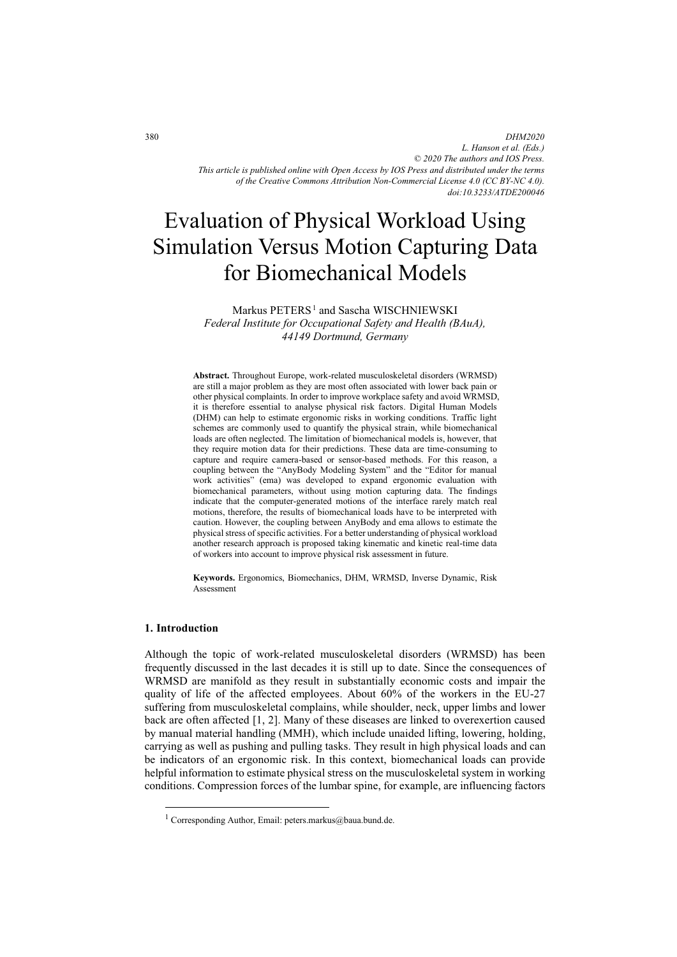*DHM2020 L. Hanson et al. (Eds.) © 2020 The authors and IOS Press. This article is published online with Open Access by IOS Press and distributed under the terms of the Creative Commons Attribution Non-Commercial License 4.0 (CC BY-NC 4.0). doi:10.3233/ATDE200046*

# Evaluation of Physical Workload Using Simulation Versus Motion Capturing Data for Biomechanical Models

Markus PETERS<sup>1</sup> and Sascha WISCHNIEWSKI *Federal Institute for Occupational Safety and Health (BAuA), 44149 Dortmund, Germany* 

**Abstract.** Throughout Europe, work-related musculoskeletal disorders (WRMSD) are still a major problem as they are most often associated with lower back pain or other physical complaints. In order to improve workplace safety and avoid WRMSD, it is therefore essential to analyse physical risk factors. Digital Human Models (DHM) can help to estimate ergonomic risks in working conditions. Traffic light schemes are commonly used to quantify the physical strain, while biomechanical loads are often neglected. The limitation of biomechanical models is, however, that they require motion data for their predictions. These data are time-consuming to capture and require camera-based or sensor-based methods. For this reason, a coupling between the "AnyBody Modeling System" and the "Editor for manual work activities" (ema) was developed to expand ergonomic evaluation with biomechanical parameters, without using motion capturing data. The findings indicate that the computer-generated motions of the interface rarely match real motions, therefore, the results of biomechanical loads have to be interpreted with caution. However, the coupling between AnyBody and ema allows to estimate the physical stress of specific activities. For a better understanding of physical workload another research approach is proposed taking kinematic and kinetic real-time data of workers into account to improve physical risk assessment in future.

**Keywords.** Ergonomics, Biomechanics, DHM, WRMSD, Inverse Dynamic, Risk Assessment

## **1. Introduction**

-

Although the topic of work-related musculoskeletal disorders (WRMSD) has been frequently discussed in the last decades it is still up to date. Since the consequences of WRMSD are manifold as they result in substantially economic costs and impair the quality of life of the affected employees. About 60% of the workers in the EU-27 suffering from musculoskeletal complains, while shoulder, neck, upper limbs and lower back are often affected [1, 2]. Many of these diseases are linked to overexertion caused by manual material handling (MMH), which include unaided lifting, lowering, holding, carrying as well as pushing and pulling tasks. They result in high physical loads and can be indicators of an ergonomic risk. In this context, biomechanical loads can provide helpful information to estimate physical stress on the musculoskeletal system in working conditions. Compression forces of the lumbar spine, for example, are influencing factors

<sup>&</sup>lt;sup>1</sup> Corresponding Author, Email: peters.markus@baua.bund.de.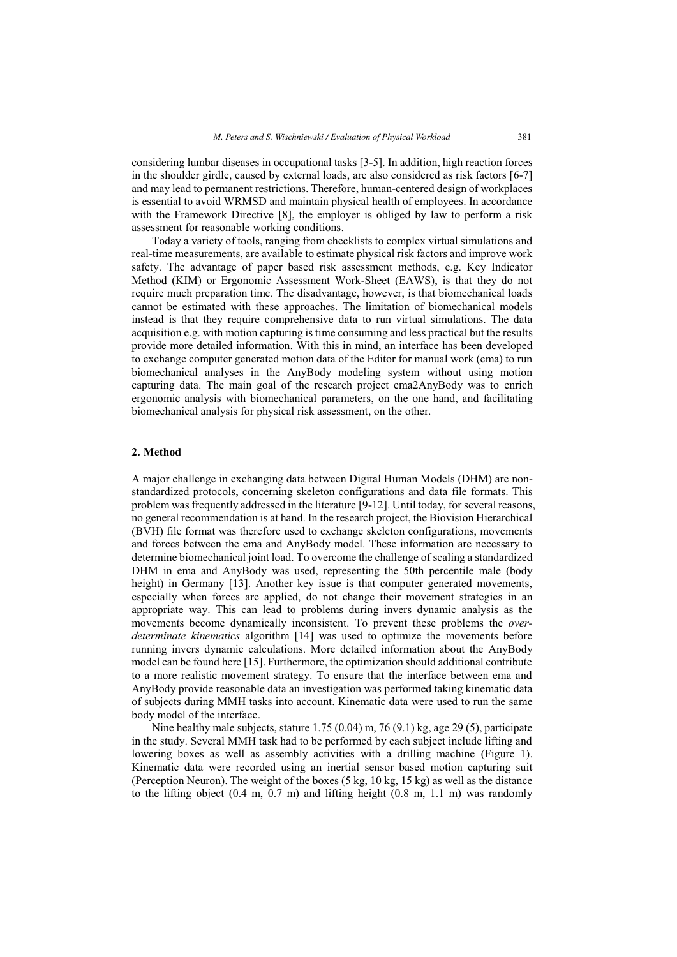considering lumbar diseases in occupational tasks [3-5]. In addition, high reaction forces in the shoulder girdle, caused by external loads, are also considered as risk factors [6-7] and may lead to permanent restrictions. Therefore, human-centered design of workplaces is essential to avoid WRMSD and maintain physical health of employees. In accordance with the Framework Directive [8], the employer is obliged by law to perform a risk assessment for reasonable working conditions.

Today a variety of tools, ranging from checklists to complex virtual simulations and real-time measurements, are available to estimate physical risk factors and improve work safety. The advantage of paper based risk assessment methods, e.g. Key Indicator Method (KIM) or Ergonomic Assessment Work-Sheet (EAWS), is that they do not require much preparation time. The disadvantage, however, is that biomechanical loads cannot be estimated with these approaches. The limitation of biomechanical models instead is that they require comprehensive data to run virtual simulations. The data acquisition e.g. with motion capturing is time consuming and less practical but the results provide more detailed information. With this in mind, an interface has been developed to exchange computer generated motion data of the Editor for manual work (ema) to run biomechanical analyses in the AnyBody modeling system without using motion capturing data. The main goal of the research project ema2AnyBody was to enrich ergonomic analysis with biomechanical parameters, on the one hand, and facilitating biomechanical analysis for physical risk assessment, on the other.

## **2. Method**

A major challenge in exchanging data between Digital Human Models (DHM) are nonstandardized protocols, concerning skeleton configurations and data file formats. This problem was frequently addressed in the literature [9-12]. Until today, for several reasons, no general recommendation is at hand. In the research project, the Biovision Hierarchical (BVH) file format was therefore used to exchange skeleton configurations, movements and forces between the ema and AnyBody model. These information are necessary to determine biomechanical joint load. To overcome the challenge of scaling a standardized DHM in ema and AnyBody was used, representing the 50th percentile male (body height) in Germany [13]. Another key issue is that computer generated movements, especially when forces are applied, do not change their movement strategies in an appropriate way. This can lead to problems during invers dynamic analysis as the movements become dynamically inconsistent. To prevent these problems the *overdeterminate kinematics* algorithm [14] was used to optimize the movements before running invers dynamic calculations. More detailed information about the AnyBody model can be found here [15]. Furthermore, the optimization should additional contribute to a more realistic movement strategy. To ensure that the interface between ema and AnyBody provide reasonable data an investigation was performed taking kinematic data of subjects during MMH tasks into account. Kinematic data were used to run the same body model of the interface.

Nine healthy male subjects, stature 1.75 (0.04) m, 76 (9.1) kg, age 29 (5), participate in the study. Several MMH task had to be performed by each subject include lifting and lowering boxes as well as assembly activities with a drilling machine (Figure 1). Kinematic data were recorded using an inertial sensor based motion capturing suit (Perception Neuron). The weight of the boxes (5 kg, 10 kg, 15 kg) as well as the distance to the lifting object  $(0.4 \text{ m}, 0.7 \text{ m})$  and lifting height  $(0.8 \text{ m}, 1.1 \text{ m})$  was randomly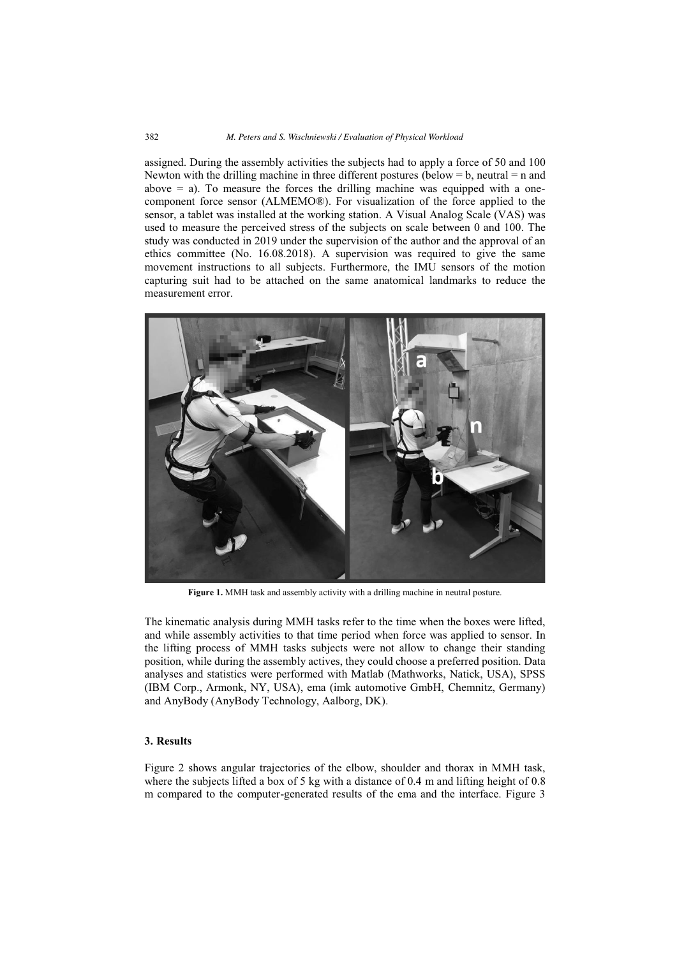assigned. During the assembly activities the subjects had to apply a force of 50 and 100 Newton with the drilling machine in three different postures (below  $= b$ , neutral  $= n$  and above  $=$  a). To measure the forces the drilling machine was equipped with a onecomponent force sensor (ALMEMO®). For visualization of the force applied to the sensor, a tablet was installed at the working station. A Visual Analog Scale (VAS) was used to measure the perceived stress of the subjects on scale between 0 and 100. The study was conducted in 2019 under the supervision of the author and the approval of an ethics committee (No. 16.08.2018). A supervision was required to give the same movement instructions to all subjects. Furthermore, the IMU sensors of the motion capturing suit had to be attached on the same anatomical landmarks to reduce the measurement error.



**Figure 1.** MMH task and assembly activity with a drilling machine in neutral posture.

The kinematic analysis during MMH tasks refer to the time when the boxes were lifted, and while assembly activities to that time period when force was applied to sensor. In the lifting process of MMH tasks subjects were not allow to change their standing position, while during the assembly actives, they could choose a preferred position. Data analyses and statistics were performed with Matlab (Mathworks, Natick, USA), SPSS (IBM Corp., Armonk, NY, USA), ema (imk automotive GmbH, Chemnitz, Germany) and AnyBody (AnyBody Technology, Aalborg, DK).

# **3. Results**

Figure 2 shows angular trajectories of the elbow, shoulder and thorax in MMH task, where the subjects lifted a box of 5 kg with a distance of 0.4 m and lifting height of 0.8 m compared to the computer-generated results of the ema and the interface. Figure 3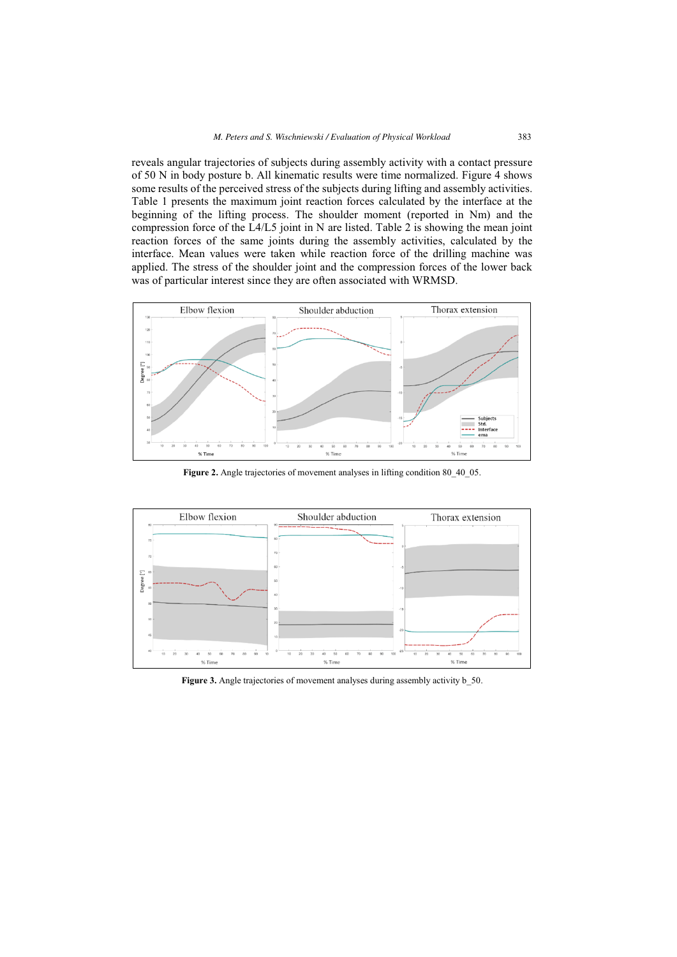reveals angular trajectories of subjects during assembly activity with a contact pressure of 50 N in body posture b. All kinematic results were time normalized. Figure 4 shows some results of the perceived stress of the subjects during lifting and assembly activities. Table 1 presents the maximum joint reaction forces calculated by the interface at the beginning of the lifting process. The shoulder moment (reported in Nm) and the compression force of the L4/L5 joint in N are listed. Table 2 is showing the mean joint reaction forces of the same joints during the assembly activities, calculated by the interface. Mean values were taken while reaction force of the drilling machine was applied. The stress of the shoulder joint and the compression forces of the lower back was of particular interest since they are often associated with WRMSD.



Figure 2. Angle trajectories of movement analyses in lifting condition 80\_40\_05.



Figure 3. Angle trajectories of movement analyses during assembly activity **b\_50.**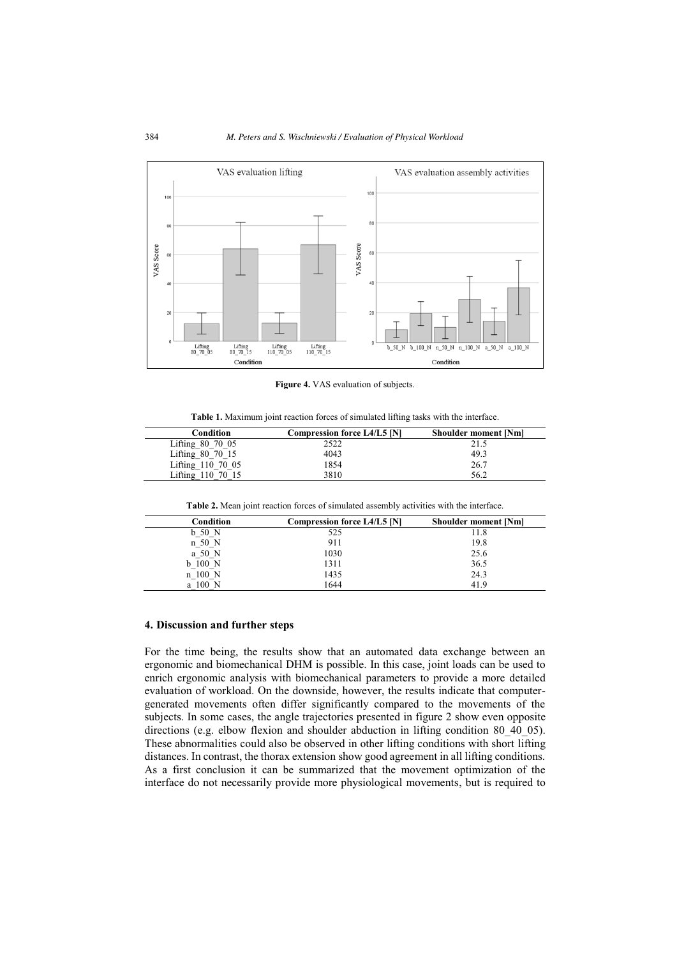

**Figure 4.** VAS evaluation of subjects.

**Table 1.** Maximum joint reaction forces of simulated lifting tasks with the interface.

| Condition          | Compression force L4/L5 [N] | <b>Shoulder moment [Nm]</b> |
|--------------------|-----------------------------|-----------------------------|
| Lifting $80$ 70 05 | 2522                        | 21.5                        |
| Lifting 80 70 15   | 4043                        | 49.3                        |
| Lifting 110 70 05  | 1854                        | 26.7                        |
| Lifting 110 70 15  | 3810                        | 56.2                        |

**Table 2.** Mean joint reaction forces of simulated assembly activities with the interface.

| Condition | Compression force L4/L5 [N] | <b>Shoulder moment [Nm]</b> |
|-----------|-----------------------------|-----------------------------|
| $b$ 50 N  | 525                         | 11.8                        |
| n 50 N    | 911                         | 19.8                        |
| a 50 N    | 1030                        | 25.6                        |
| $b$ 100 N | 1311                        | 36.5                        |
| n 100 N   | 1435                        | 24.3                        |
| a 100 N   | 1644                        | 41.9                        |

#### **4. Discussion and further steps**

For the time being, the results show that an automated data exchange between an ergonomic and biomechanical DHM is possible. In this case, joint loads can be used to enrich ergonomic analysis with biomechanical parameters to provide a more detailed evaluation of workload. On the downside, however, the results indicate that computergenerated movements often differ significantly compared to the movements of the subjects. In some cases, the angle trajectories presented in figure 2 show even opposite directions (e.g. elbow flexion and shoulder abduction in lifting condition 80\_40\_05). These abnormalities could also be observed in other lifting conditions with short lifting distances. In contrast, the thorax extension show good agreement in all lifting conditions. As a first conclusion it can be summarized that the movement optimization of the interface do not necessarily provide more physiological movements, but is required to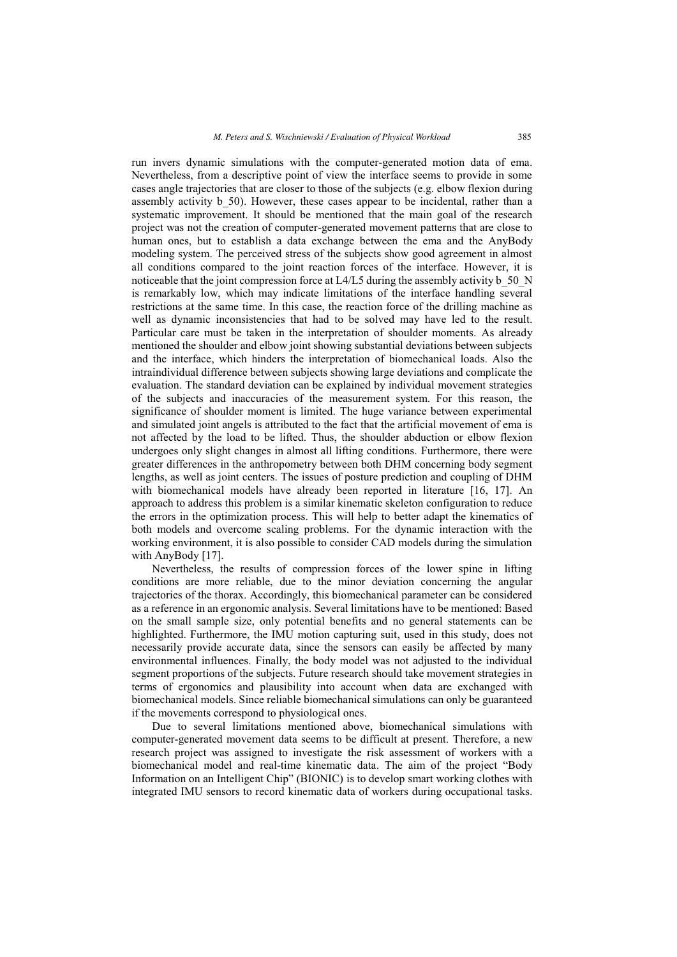run invers dynamic simulations with the computer-generated motion data of ema. Nevertheless, from a descriptive point of view the interface seems to provide in some cases angle trajectories that are closer to those of the subjects (e.g. elbow flexion during assembly activity b\_50). However, these cases appear to be incidental, rather than a systematic improvement. It should be mentioned that the main goal of the research project was not the creation of computer-generated movement patterns that are close to human ones, but to establish a data exchange between the ema and the AnyBody modeling system. The perceived stress of the subjects show good agreement in almost all conditions compared to the joint reaction forces of the interface. However, it is noticeable that the joint compression force at  $L4/L5$  during the assembly activity b 50 N is remarkably low, which may indicate limitations of the interface handling several restrictions at the same time. In this case, the reaction force of the drilling machine as well as dynamic inconsistencies that had to be solved may have led to the result. Particular care must be taken in the interpretation of shoulder moments. As already mentioned the shoulder and elbow joint showing substantial deviations between subjects and the interface, which hinders the interpretation of biomechanical loads. Also the intraindividual difference between subjects showing large deviations and complicate the evaluation. The standard deviation can be explained by individual movement strategies of the subjects and inaccuracies of the measurement system. For this reason, the significance of shoulder moment is limited. The huge variance between experimental and simulated joint angels is attributed to the fact that the artificial movement of ema is not affected by the load to be lifted. Thus, the shoulder abduction or elbow flexion undergoes only slight changes in almost all lifting conditions. Furthermore, there were greater differences in the anthropometry between both DHM concerning body segment lengths, as well as joint centers. The issues of posture prediction and coupling of DHM with biomechanical models have already been reported in literature [16, 17]. An approach to address this problem is a similar kinematic skeleton configuration to reduce the errors in the optimization process. This will help to better adapt the kinematics of both models and overcome scaling problems. For the dynamic interaction with the working environment, it is also possible to consider CAD models during the simulation with AnyBody [17].

Nevertheless, the results of compression forces of the lower spine in lifting conditions are more reliable, due to the minor deviation concerning the angular trajectories of the thorax. Accordingly, this biomechanical parameter can be considered as a reference in an ergonomic analysis. Several limitations have to be mentioned: Based on the small sample size, only potential benefits and no general statements can be highlighted. Furthermore, the IMU motion capturing suit, used in this study, does not necessarily provide accurate data, since the sensors can easily be affected by many environmental influences. Finally, the body model was not adjusted to the individual segment proportions of the subjects. Future research should take movement strategies in terms of ergonomics and plausibility into account when data are exchanged with biomechanical models. Since reliable biomechanical simulations can only be guaranteed if the movements correspond to physiological ones.

Due to several limitations mentioned above, biomechanical simulations with computer-generated movement data seems to be difficult at present. Therefore, a new research project was assigned to investigate the risk assessment of workers with a biomechanical model and real-time kinematic data. The aim of the project "Body Information on an Intelligent Chip" (BIONIC) is to develop smart working clothes with integrated IMU sensors to record kinematic data of workers during occupational tasks.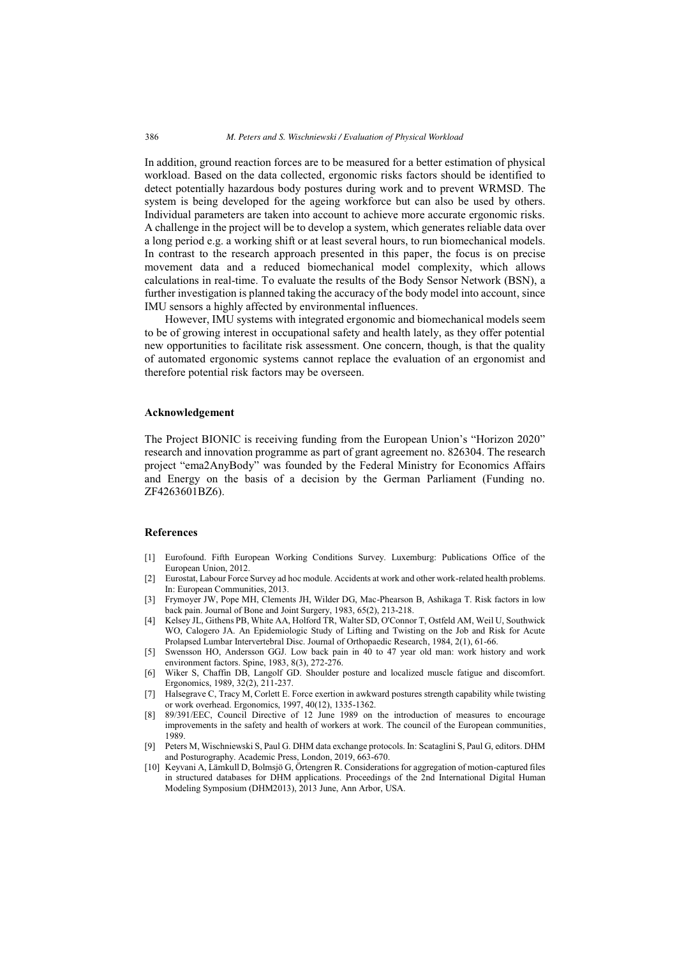In addition, ground reaction forces are to be measured for a better estimation of physical workload. Based on the data collected, ergonomic risks factors should be identified to detect potentially hazardous body postures during work and to prevent WRMSD. The system is being developed for the ageing workforce but can also be used by others. Individual parameters are taken into account to achieve more accurate ergonomic risks. A challenge in the project will be to develop a system, which generates reliable data over a long period e.g. a working shift or at least several hours, to run biomechanical models. In contrast to the research approach presented in this paper, the focus is on precise movement data and a reduced biomechanical model complexity, which allows calculations in real-time. To evaluate the results of the Body Sensor Network (BSN), a further investigation is planned taking the accuracy of the body model into account, since IMU sensors a highly affected by environmental influences.

However, IMU systems with integrated ergonomic and biomechanical models seem to be of growing interest in occupational safety and health lately, as they offer potential new opportunities to facilitate risk assessment. One concern, though, is that the quality of automated ergonomic systems cannot replace the evaluation of an ergonomist and therefore potential risk factors may be overseen.

#### **Acknowledgement**

The Project BIONIC is receiving funding from the European Union's "Horizon 2020" research and innovation programme as part of grant agreement no. 826304. The research project "ema2AnyBody" was founded by the Federal Ministry for Economics Affairs and Energy on the basis of a decision by the German Parliament (Funding no. ZF4263601BZ6).

### **References**

- [1] Eurofound. Fifth European Working Conditions Survey. Luxemburg: Publications Office of the European Union, 2012.
- [2] Eurostat, Labour Force Survey ad hoc module. Accidents at work and other work-related health problems. In: European Communities, 2013.
- [3] Frymoyer JW, Pope MH, Clements JH, Wilder DG, Mac-Phearson B, Ashikaga T. Risk factors in low back pain. Journal of Bone and Joint Surgery, 1983, 65(2), 213-218.
- [4] Kelsey JL, Githens PB, White AA, Holford TR, Walter SD, O'Connor T, Ostfeld AM, Weil U, Southwick WO, Calogero JA. An Epidemiologic Study of Lifting and Twisting on the Job and Risk for Acute Prolapsed Lumbar Intervertebral Disc. Journal of Orthopaedic Research, 1984, 2(1), 61-66.
- [5] Swensson HO, Andersson GGJ. Low back pain in 40 to 47 year old man: work history and work environment factors. Spine, 1983, 8(3), 272-276.
- [6] Wiker S, Chaffin DB, Langolf GD. Shoulder posture and localized muscle fatigue and discomfort. Ergonomics, 1989, 32(2), 211-237.
- [7] Halsegrave C, Tracy M, Corlett E. Force exertion in awkward postures strength capability while twisting or work overhead. Ergonomics, 1997, 40(12), 1335-1362.
- [8] 89/391/EEC, Council Directive of 12 June 1989 on the introduction of measures to encourage improvements in the safety and health of workers at work. The council of the European communities, 1989.
- [9] Peters M, Wischniewski S, Paul G. DHM data exchange protocols. In: Scataglini S, Paul G, editors. DHM and Posturography. Academic Press, London, 2019, 663-670.
- [10] Keyvani A, Lämkull D, Bolmsjö G, Örtengren R. Considerations for aggregation of motion-captured files in structured databases for DHM applications. Proceedings of the 2nd International Digital Human Modeling Symposium (DHM2013), 2013 June, Ann Arbor, USA.